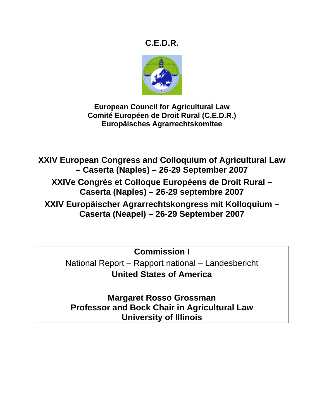# **C.E.D.R.**



**European Council for Agricultural Law Comité Européen de Droit Rural (C.E.D.R.) Europäisches Agrarrechtskomitee** 

**XXIV European Congress and Colloquium of Agricultural Law – Caserta (Naples) – 26-29 September 2007 XXIVe Congrès et Colloque Européens de Droit Rural – Caserta (Naples) – 26-29 septembre 2007 XXIV Europäischer Agrarrechtskongress mit Kolloquium – Caserta (Neapel) – 26-29 September 2007** 

> **Commission I**  National Report – Rapport national – Landesbericht **United States of America**

**Margaret Rosso Grossman Professor and Bock Chair in Agricultural Law University of Illinois**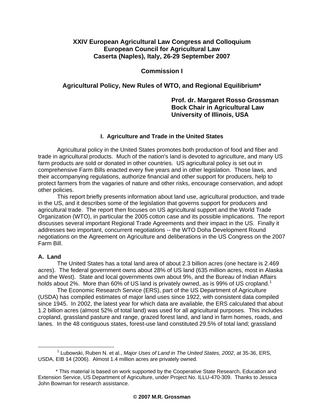# **XXIV European Agricultural Law Congress and Colloquium European Council for Agricultural Law Caserta (Naples), Italy, 26-29 September 2007**

# **Commission I**

# **Agricultural Policy, New Rules of WTO, and Regional Equilibrium\***

# **Prof. dr. Margaret Rosso Grossman Bock Chair in Agricultural Law University of Illinois, USA**

## **I. Agriculture and Trade in the United States**

Agricultural policy in the United States promotes both production of food and fiber and trade in agricultural products. Much of the nation's land is devoted to agriculture, and many US farm products are sold or donated in other countries. US agricultural policy is set out in comprehensive Farm Bills enacted every five years and in other legislation. Those laws, and their accompanying regulations, authorize financial and other support for producers, help to protect farmers from the vagaries of nature and other risks, encourage conservation, and adopt other policies.

This report briefly presents information about land use, agricultural production, and trade in the US, and it describes some of the legislation that governs support for producers and agricultural trade. The report then focuses on US agricultural support and the World Trade Organization (WTO), in particular the 2005 cotton case and its possible implications. The report discusses several important Regional Trade Agreements and their impact in the US. Finally it addresses two important, concurrent negotiations -- the WTO Doha Development Round negotiations on the Agreement on Agriculture and deliberations in the US Congress on the 2007 Farm Bill.

## **A. Land**

The United States has a total land area of about 2.3 billion acres (one hectare is 2.469 acres). The federal government owns about 28% of US land (635 million acres, most in Alaska and the West). State and local governments own about 9%, and the Bureau of Indian Affairs holds about 2%. More than 60% of US land is privately owned, as is 99% of US cropland.<sup>[1](#page-1-0)</sup>

The Economic Research Service (ERS), part of the US Department of Agriculture (USDA) has compiled estimates of major land uses since 1922, with consistent data compiled since 1945. In 2002, the latest year for which data are available, the ERS calculated that about 1.2 billion acres (almost 52% of total land) was used for all agricultural purposes. This includes cropland, grassland pasture and range, grazed forest land, and land in farm homes, roads, and lanes. In the 48 contiguous states, forest-use land constituted 29.5% of total land; grassland

<span id="page-1-0"></span> $\overline{\phantom{a}}$  1 Lubowski, Ruben N. et al., *Major Uses of Land in The United States, 2002*, at 35-36, ERS, USDA, EIB 14 (2006). Almost 1.4 million acres are privately owned.

 <sup>\*</sup> This material is based on work supported by the Cooperative State Research, Education and Extension Service, US Department of Agriculture, under Project No. ILLU-470-309. Thanks to Jessica John Bowman for research assistance.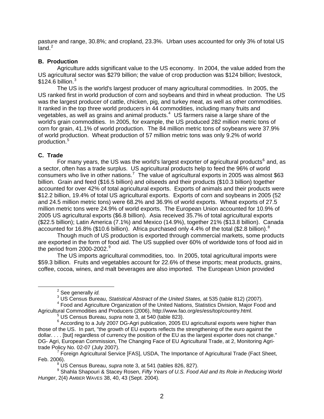pasture and range, 30.8%; and cropland, 23.3%. Urban uses accounted for only 3% of total US  $land<sup>2</sup>$  $land<sup>2</sup>$  $land<sup>2</sup>$ 

#### **B. Production**

Agriculture adds significant value to the US economy. In 2004, the value added from the US agricultural sector was \$279 billion; the value of crop production was \$124 billion; livestock,  $$124.6$  billion.<sup>[3](#page-2-1)</sup>

The US is the world's largest producer of many agricultural commodities. In 2005, the US ranked first in world production of corn and soybeans and third in wheat production. The US was the largest producer of cattle, chicken, pig, and turkey meat, as well as other commodities. It ranked in the top three world producers in 44 commodities, including many fruits and vegetables, as well as grains and animal products. $4\,$  $4\,$  US farmers raise a large share of the world's grain commodities. In 2005, for example, the US produced 282 million metric tons of corn for grain, 41.1% of world production. The 84 million metric tons of soybeans were 37.9% of world production. Wheat production of 57 million metric tons was only 9.2% of world production.[5](#page-2-3)

#### **C. Trade**

For many years, the US was the world's largest exporter of agricultural products<sup>[6](#page-2-4)</sup> and, as a sector, often has a trade surplus. US agricultural products help to feed the 96% of world consumers who live in other nations.<sup>[7](#page-2-5)</sup> The value of agricultural exports in 2005 was almost \$63 billion. Grain and feed (\$16.5 billion) and oilseeds and their products (\$10.3 billion) together accounted for over 42% of total agricultural exports. Exports of animals and their products were \$12.2 billion, 19.4% of total US agricultural exports. Exports of corn and soybeans in 2005 (52 and 24.5 million metric tons) were 68.2% and 36.9% of world exports. Wheat exports of 27.5 million metric tons were 24.9% of world exports. The European Union accounted for 10.9% of 2005 US agricultural exports (\$6.8 billion). Asia received 35.7% of total agricultural exports (\$22.5 billion); Latin America (7.1%) and Mexico (14.9%), together 21% (\$13.8 billion). Canada accounted for 16.[8](#page-2-6)% (\$10.6 billion). Africa purchased only  $4.4\%$  of the total (\$2.8 billion).<sup>8</sup>

Though much of US production is exported through commercial markets, some products are exported in the form of food aid. The US supplied over 60% of worldwide tons of food aid in the period from 2000-2002. $9$ 

The US imports agricultural commodities, too. In 2005, total agricultural imports were \$59.3 billion. Fruits and vegetables account for 22.6% of these imports; meat products, grains, coffee, cocoa, wines, and malt beverages are also imported. The European Union provided

<span id="page-2-0"></span> $\overline{\phantom{a}}$  2 <sup>2</sup> See generally *id.* 

<sup>&</sup>lt;sup>3</sup> US Census Bureau, *Statistical Abstract of the United States,* at 535 (table 812) (2007).<br><sup>4</sup> Esed and Agriculture Organization of the United National Statistics Division, Major Esec

<span id="page-2-2"></span><span id="page-2-1"></span><sup>&</sup>lt;sup>4</sup> Food and Agriculture Organization of the United Nations, Statistics Division, Major Food and Agricultural Commodities and Producers (2006), http://www.fao.org/es/ess/top/country.html. 5

<sup>&</sup>lt;sup>5</sup> US Census Bureau, *supra* note 3, at 540 (table 823).

<span id="page-2-4"></span><span id="page-2-3"></span> $6$  According to a July 2007 DG-Agri publication, 2005 EU agricultural exports were higher than those of the US. In part, "the growth of EU exports reflects the strengthening of the euro against the dollar. . . . [but] regardless of currency the position of the EU as the largest exporter does not change." DG- Agri, European Commission, The Changing Face of EU Agricultural Trade, at 2, Monitoring Agritrade Policy No. 02-07 (July 2007). 7

<span id="page-2-5"></span><sup>&</sup>lt;sup>7</sup> Foreign Agricultural Service [FAS], USDA, The Importance of Agricultural Trade (Fact Sheet, Feb. 2006).

US Census Bureau, *supra* note 3, at 541 (tables 826, 827). 9

<span id="page-2-7"></span><span id="page-2-6"></span>Shahla Shapouri & Stacey Rosen, *Fifty Years of U.S. Food Aid and Its Role in Reducing World Hunger*, 2(4) AMBER WAVES 38, 40, 43 (Sept. 2004).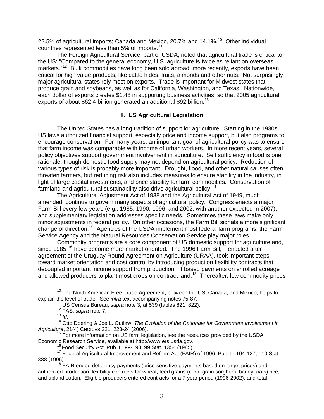22.5% of agricultural imports; Canada and Mexico, 20.7% and  $14.1\%$ <sup>[10](#page-3-0)</sup> Other individual countries represented less than 5% of imports.<sup>[11](#page-3-1)</sup>

The Foreign Agricultural Service, part of USDA, noted that agricultural trade is critical to the US: "Compared to the general economy, U.S. agriculture is twice as reliant on overseas markets."<sup>[12](#page-3-2)</sup> Bulk commodities have long been sold abroad; more recently, exports have been critical for high value products, like cattle hides, fruits, almonds and other nuts. Not surprisingly, major agricultural states rely most on exports. Trade is important for Midwest states that produce grain and soybeans, as well as for California, Washington, and Texas. Nationwide, each dollar of exports creates \$1.48 in supporting business activities, so that 2005 agricultural exports of about \$62.4 billion generated an additional \$92 billion.<sup>[13](#page-3-3)</sup>

## **II. US Agricultural Legislation**

The United States has a long tradition of support for agriculture. Starting in the 1930s, US laws authorized financial support, especially price and income support, but also programs to encourage conservation. For many years, an important goal of agricultural policy was to ensure that farm income was comparable with income of urban workers. In more recent years, several policy objectives support government involvement in agriculture. Self sufficiency in food is one rationale, though domestic food supply may not depend on agricultural policy. Reduction of various types of risk is probably more important. Drought, flood, and other natural causes often threaten farmers, but reducing risk also includes measures to ensure stability in the industry, in light of large capital investments, and price stability for farm commodities. Conservation of farmland and agricultural sustainability also drive agricultural policy.<sup>[14](#page-3-4)</sup>

The Agricultural Adjustment Act of 1938 and the Agricultural Act of 1949, much amended, continue to govern many aspects of agricultural policy. Congress enacts a major Farm Bill every few years (e.g., 1985, 1990, 1996, and 2002, with another expected in 2007), and supplementary legislation addresses specific needs. Sometimes these laws make only minor adjustments in federal policy. On other occasions, the Farm Bill signals a more significant change of direction.[15](#page-3-5) Agencies of the USDA implement most federal farm programs; the Farm Service Agency and the Natural Resources Conservation Service play major roles.

Commodity programs are a core component of US domestic support for agriculture and, since 1985,<sup>[16](#page-3-6)</sup> have become more market oriented. The 1996 Farm Bill,<sup>[17](#page-3-7)</sup> enacted after agreement of the Uruguay Round Agreement on Agriculture (URAA), took important steps toward market orientation and cost control by introducing production flexibility contracts that decoupled important income support from production. It based payments on enrolled acreage and allowed producers to plant most crops on contract land.<sup>[18](#page-3-8)</sup> Thereafter, low commodity prices

<span id="page-3-1"></span><span id="page-3-0"></span> $10$  The North American Free Trade Agreement, between the US, Canada, and Mexico, helps to explain the level of trade. See *infra* text accompanying notes 75-87.<br><sup>11</sup> US Census Bureau, *supra* note 3, at 539 (tables 821, 822).<br><sup>12</sup> FAS, *supra* note 7.<br><sup>13</sup> Id.

<span id="page-3-4"></span><span id="page-3-3"></span><span id="page-3-2"></span><sup>&</sup>lt;sup>14</sup> Otto Doering & Joe L. Outlaw, *The Evolution of the Rationale for Government Involvement in*<br>Agriculture, 21(4) CHOICES 221, 223-24 (2006).

<span id="page-3-5"></span><sup>&</sup>lt;sup>15</sup> For more information on US farm legislation, see the resources provided by the USDA<br>Economic Research Service, available at http://www.ers.usda.gov.

<span id="page-3-7"></span><span id="page-3-6"></span><sup>&</sup>lt;sup>16</sup> Food Security Act, Pub. L. 99-198, 99 Stat. 1354 (1985).<br><sup>17</sup> Federal Agricultural Improvement and Reform Act (FAIR) of 1996, Pub. L. 104-127, 110 Stat.<br>888 (1996).

<span id="page-3-8"></span> $18$  FAIR ended deficiency payments (price-sensitive payments based on target prices) and authorized production flexibility contracts for wheat, feed grains (corn, grain sorghum, barley, oats) rice, and upland cotton. Eligible producers entered contracts for a 7-year period (1996-2002), and total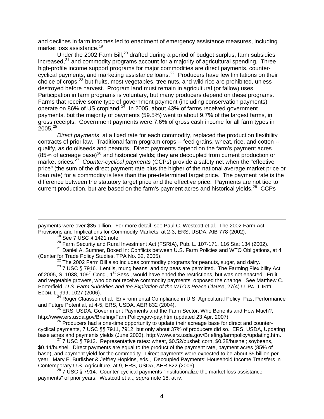and declines in farm incomes led to enactment of emergency assistance measures, including market loss assistance.<sup>[19](#page-4-0)</sup>

Under the [20](#page-4-1)02 Farm Bill, $^{20}$  drafted during a period of budget surplus, farm subsidies increased, $^{21}$  $^{21}$  $^{21}$  and commodity programs account for a majority of agricultural spending. Three high-profile income support programs for major commodities are direct payments, counter-cyclical payments, and marketing assistance loans.<sup>[22](#page-4-3)</sup> Producers have few limitations on their choice of crops,  $23$  but fruits, most vegetables, tree nuts, and wild rice are prohibited, unless destroyed before harvest. Program land must remain in agricultural (or fallow) uses. Participation in farm programs is voluntary, but many producers depend on these programs. Farms that receive some type of government payment (including conservation payments) operate on 86% of US cropland.<sup>[24](#page-4-5)</sup> In 2005, about 43% of farms received government payments, but the majority of payments (59.5%) went to about 9.7% of the largest farms, in gross receipts. Government payments were 7.6% of gross cash income for all farm types in  $2005.<sup>25</sup>$  $2005.<sup>25</sup>$  $2005.<sup>25</sup>$ 

*Direct payments*, at a fixed rate for each commodity, replaced the production flexibility contracts of prior law. Traditional farm program crops -- feed grains, wheat, rice, and cotton - qualify, as do oilseeds and peanuts. Direct payments depend on the farm's payment acres  $(85\%$  of acreage base)<sup>[26](#page-4-7)</sup> and historical yields; they are decoupled from current production or market prices.<sup>[27](#page-4-8)</sup> *Counter-cyclical payments* (CCPs) provide a safety net when the "effective price" (the sum of the direct payment rate plus the higher of the national average market price or loan rate) for a commodity is less than the pre-determined target price. The payment rate is the difference between the statutory target price and the effective price. Payments are not tied to current production, but are based on the farm's payment acres and historical yields.<sup>[28](#page-4-9)</sup> CCPs

payments were over \$35 billion. For more detail, see Paul C. Westcott et al., The 2002 Farm Act: Provisions and Implications for Commodity Markets, at 2-3, ERS, USDA, AIB 778 (2002).<br><sup>19</sup> See 7 USC § 1421 note.<br><sup>20</sup> Farm Security and Rural Investment Act (FSRIA), Pub. L. 107-171, 116 Stat 134 (2002).

 $\overline{a}$ 

<span id="page-4-2"></span><span id="page-4-1"></span><span id="page-4-0"></span><sup>21</sup> Daniel A. Sumner, Boxed In: Conflicts between U.S. Farm Policies and WTO Obligations, at 4 (Center for Trade Policy Studies, TPA No. 32, 2005).

<span id="page-4-4"></span><span id="page-4-3"></span> $^{22}$  The 2002 Farm Bill also includes commodity programs for peanuts, sugar, and dairy.<br> $^{23}$  7 USC § 7916. Lentils, mung beans, and dry peas are permitted. The Farming Flexibility Act of 2005, S. 1038, 109<sup>th</sup> Cong., 1<sup>st</sup> Sess., would have ended the restrictions, but was not enacted. Fruit and vegetable growers, who do not receive commodity payments, opposed the change. See Matthew C. Porterfield, *U.S. Farm Subsidies and the Expiration of the WTO's Peace Clause*, 27(4) U. PA. J. INT'L

<span id="page-4-5"></span>ECON. L. 999, 1027 (2006).<br><sup>24</sup> Roger Claassen et al., Environmental Compliance in U.S. Agricultural Policy: Past Performance<br>and Future Potential, at 4-5, ERS, USDA, AER 832 (2004).

<span id="page-4-6"></span><sup>25</sup> ERS, USDA, Government Payments and the Farm Sector: Who Benefits and How Much?, http://www.ers.usda.gov/Briefing/FarmPolicy/gov-pay.htm (updated 23 Apr. 2007).<br><sup>26</sup> Producers had a one-time opportunity to update their acreage base for direct and counter-

<span id="page-4-7"></span>cyclical payments, 7 USC §§ 7911, 7912, but only about 37% of producers did so. ERS, USDA, Updating base acres and payments yields (June 2003), http://www.ers.usda.gov/Briefing/farmpolicy/updating.htm.<br><sup>27</sup> 7 USC § 7913. Representative rates: wheat, \$0.52/bushel; corn, \$0.28/bushel; soybeans,

<span id="page-4-8"></span>\$0.44/bushel. Direct payments are equal to the product of the payment rate, payment acres (85% of base), and payment yield for the commodity. Direct payments were expected to be about \$5 billion per year. Mary E. Burfisher & Jeffrey Hopkins, eds., Decoupled Payments: Household Income Transfers in Contemporary U.S. Agriculture, at 9, ERS, USDA, AER 822 (2003).

<span id="page-4-9"></span> $^{28}$  7 USC § 7914. Counter-cyclical payments "institutionalize the market loss assistance payments" of prior years. Westcott et al., *supra* note 18, at iv.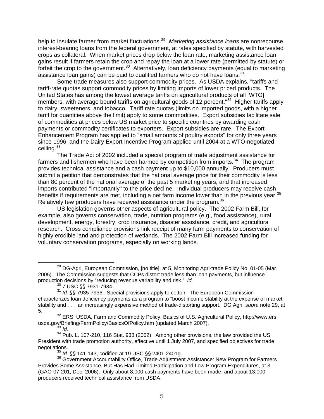help to insulate farmer from market fluctuations.[29](#page-5-0) *Marketing assistance loans* are nonrecourse interest-bearing loans from the federal government, at rates specified by statute, with harvested crops as collateral. When market prices drop below the loan rate, marketing assistance loan gains result if farmers retain the crop and repay the loan at a lower rate (permitted by statute) or forfeit the crop to the government.<sup>[30](#page-5-1)</sup> Alternatively, loan deficiency payments (equal to marketing assistance loan gains) can be paid to qualified farmers who do not have loans.<sup>[31](#page-5-2)</sup>

Some trade measures also support commodity prices. As USDA explains, "tariffs and tariff-rate quotas support commodity prices by limiting imports of lower priced products. The United States has among the lowest average tariffs on agricultural products of all [WTO] members, with average bound tariffs on agricultural goods of 12 percent."<sup>[32](#page-5-3)</sup> Higher tariffs apply to dairy, sweeteners, and tobacco. Tariff rate quotas (limits on imported goods, with a higher tariff for quantities above the limit) apply to some commodities. Export subsidies facilitate sale of commodities at prices below US market price to specific countries by awarding cash payments or commodity certificates to exporters. Export subsidies are rare. The Export Enhancement Program has applied to "small amounts of poultry exports" for only three years since 1996, and the Dairy Export Incentive Program applied until 2004 at a WTO-negotiated ceiling.<sup>[33](#page-5-4)</sup>

The Trade Act of 2002 included a special program of trade adjustment assistance for farmers and fishermen who have been harmed by competition from imports.<sup>[34](#page-5-5)</sup> The program provides technical assistance and a cash payment up to \$10,000 annually. Producers must submit a petition that demonstrates that the national average price for their commodity is less than 80 percent of the national average of the past 5 marketing years, and that increased imports contributed "importantly" to the price decline. Individual producers may receive cash benefits if requirements are met, including a net farm income lower than in the previous year.<sup>[35](#page-5-6)</sup> Relatively few producers have received assistance under the program.<sup>[36](#page-5-7)</sup>

US legislation governs other aspects of agricultural policy. The 2002 Farm Bill, for example, also governs conservation, trade, nutrition programs (e.g., food assistance), rural development, energy, forestry, crop insurance, disaster assistance, credit, and agricultural research. Cross compliance provisions link receipt of many farm payments to conservation of highly erodible land and protection of wetlands. The 2002 Farm Bill increased funding for voluntary conservation programs, especially on working lands.

7 USC §§ 7931-7934.

<span id="page-5-3"></span> $32$  ERS, USDA, Farm and Commodity Policy: Basics of U.S. Agricultural Policy, http://www.ers. usda.gov/Briefing/FarmPolicy/BasicsOfPolicy.htm (updated March 2007).<br><sup>33</sup> *Id* 

<span id="page-5-0"></span><sup>&</sup>lt;sup>29</sup> DG-Agri, European Commission, [no title], at 5, Monitoring Agri-trade Policy No. 01-05 (Mar. 2005). The Commission suggests that CCPs distort trade less than loan payments, but influence production decisions by "reducing revenue variability and risk." *Id.*

<span id="page-5-2"></span><span id="page-5-1"></span><sup>31</sup> *Id.* §§ 7935-7936. Special provisions apply to cotton. The European Commission characterizes loan deficiency payments as a program to "boost income stability at the expense of market stability and . . . an increasingly expensive method of trade-distorting support. DG Agri, *supra* note 29, at 5.

<span id="page-5-5"></span><span id="page-5-4"></span><sup>&</sup>lt;sup>34</sup> Pub. L. 107-210, 116 Stat. 933 (2002). Among other provisions, the law provided the US President with trade promotion authority, effective until 1 July 2007, and specified objectives for trade

<span id="page-5-7"></span><span id="page-5-6"></span>negotiations.<br><sup>35</sup> *Id*. §§ 141-143, codified at 19 USC §§ 2401-2401g.<br><sup>36</sup> Government Accountability Office, Trade Adjustment Assistance: New Program for Farmers Provides Some Assistance, But Has Had Limited Participation and Low Program Expenditures, at 3 (GAO-07-201, Dec. 2006). Only about 8,000 cash payments have been made, and about 13,000 producers received technical assistance from USDA.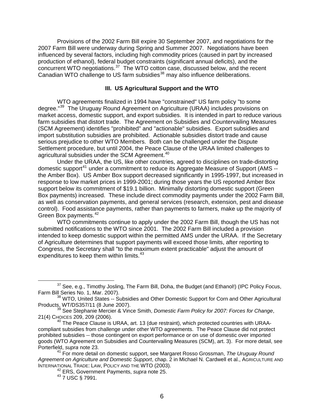Provisions of the 2002 Farm Bill expire 30 September 2007, and negotiations for the 2007 Farm Bill were underway during Spring and Summer 2007. Negotiations have been influenced by several factors, including high commodity prices (caused in part by increased production of ethanol), federal budget constraints (significant annual deficits), and the concurrent WTO negotiations.<sup>[37](#page-6-0)</sup> The WTO cotton case, discussed below, and the recent Canadian WTO challenge to US farm subsidies<sup>[38](#page-6-1)</sup> may also influence deliberations.

# **III. US Agricultural Support and the WTO**

WTO agreements finalized in 1994 have "constrained" US farm policy "to some degree."[39](#page-6-2) The Uruguay Round Agreement on Agriculture (URAA) includes provisions on market access, domestic support, and export subsidies. It is intended in part to reduce various farm subsidies that distort trade. The Agreement on Subsidies and Countervailing Measures (SCM Agreement) identifies "prohibited" and "actionable" subsidies. Export subsidies and import substitution subsidies are prohibited. Actionable subsidies distort trade and cause serious prejudice to other WTO Members. Both can be challenged under the Dispute Settlement procedure, but until 2004, the Peace Clause of the URAA limited challenges to agricultural subsidies under the SCM Agreement.<sup>[40](#page-6-3)</sup>

Under the URAA, the US, like other countries, agreed to disciplines on trade-distorting domestic support<sup>[41](#page-6-4)</sup> under a commitment to reduce its Aggregate Measure of Support (AMS -the Amber Box). US Amber Box support decreased significantly in 1995-1997, but increased in response to low market prices in 1999-2001; during those years the US reported Amber Box support below its commitment of \$19.1 billion. Minimally distorting domestic support (Green Box payments) increased. These include direct commodity payments under the 2002 Farm Bill, as well as conservation payments, and general services (research, extension, pest and disease control). Food assistance payments, rather than payments to farmers, make up the majority of Green Box payments.<sup>[42](#page-6-5)</sup>

WTO commitments continue to apply under the 2002 Farm Bill, though the US has not submitted notifications to the WTO since 2001. The 2002 Farm Bill included a provision intended to keep domestic support within the permitted AMS under the URAA. If the Secretary of Agriculture determines that support payments will exceed those limits, after reporting to Congress, the Secretary shall "to the maximum extent practicable" adjust the amount of expenditures to keep them within limits.<sup>[43](#page-6-6)</sup>

<span id="page-6-0"></span><sup>&</sup>lt;sup>37</sup> See, e.g., Timothy Josling, The Farm Bill, Doha, the Budget (and Ethanol!) (IPC Policy Focus, Farm Bill Series No. 1, Mar. 2007).

<span id="page-6-1"></span><sup>&</sup>lt;sup>38</sup> WTO, United States -- Subsidies and Other Domestic Support for Corn and Other Agricultural Products, WT/DS357/11 (8 June 2007).<br><sup>39</sup> See Stephanie Mercier & Vince Smith, *Domestic Farm Policy for 2007: Forces for Change*,

<span id="page-6-2"></span>

<span id="page-6-3"></span><sup>21(4)</sup> CHOICES 209, 209 (2006). 40 The Peace Clause is URAA, art. 13 (due restraint), which protected countries with URAAcompliant subsidies from challenge under other WTO agreements. The Peace Clause did not protect prohibited subsidies -- those contingent on export performance or on use of domestic over imported goods (WTO Agreement on Subsidies and Countervailing Measures (SCM), art. 3). For more detail, see Porterfield, *supra* note 23.

<span id="page-6-6"></span><span id="page-6-5"></span><span id="page-6-4"></span><sup>41</sup> For more detail on domestic support, see Margaret Rosso Grossman, *The Uruguay Round Agreement on Agriculture and Domestic Support*, chap. 2 in Michael N. Cardwell et al., AGRICULTURE AND

<sup>&</sup>lt;sup>42</sup> ERS, Government Payments, *supra* note 25.

<sup>43 7</sup> USC § 7991.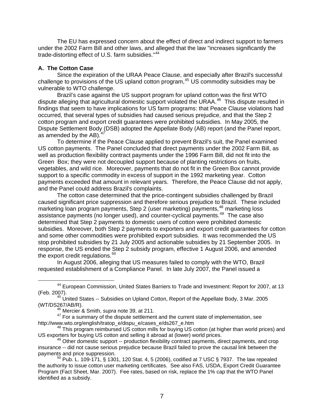The EU has expressed concern about the effect of direct and indirect support to farmers under the 2002 Farm Bill and other laws, and alleged that the law "increases significantly the trade-distorting effect of U.S. farm subsidies."<sup>[44](#page-7-0)</sup>

## **A. The Cotton Case**

Since the expiration of the URAA Peace Clause, and especially after Brazil's successful challenge to provisions of the US upland cotton program,<sup>[45](#page-7-1)</sup> US commodity subsidies may be vulnerable to WTO challenge.

Brazil's case against the US support program for upland cotton was the first WTO dispute alleging that agricultural domestic support violated the URAA. $46$  This dispute resulted in findings that seem to have implications for US farm programs: that Peace Clause violations had occurred, that several types of subsidies had caused serious prejudice, and that the Step 2 cotton program and export credit guarantees were prohibited subsidies. In May 2005, the Dispute Settlement Body (DSB) adopted the Appellate Body (AB) report (and the Panel report, as amended by the AB). $<sup>4</sup>$ </sup>

To determine if the Peace Clause applied to prevent Brazil's suit, the Panel examined US cotton payments. The Panel concluded that direct payments under the 2002 Farm Bill, as well as production flexibility contract payments under the 1996 Farm Bill, did not fit into the Green Box; they were not decoupled support because of planting restrictions on fruits, vegetables, and wild rice. Moreover, payments that do not fit in the Green Box cannot provide support to a specific commodity in excess of support in the 1992 marketing year. Cotton payments exceeded that amount in relevant years. Therefore, the Peace Clause did not apply, and the Panel could address Brazil's complaints.

The cotton case determined that the price-contingent subsidies challenged by Brazil caused significant price suppression and therefore serious prejudice to Brazil. These included marketing loan program payments, Step 2 (user marketing) payments,<sup>[48](#page-7-4)</sup> marketing loss assistance payments (no longer used), and counter-cyclical payments.<sup>[49](#page-7-5)</sup> The case also determined that Step 2 payments to domestic users of cotton were prohibited domestic subsidies. Moreover, both Step 2 payments to exporters and export credit guarantees for cotton and some other commodities were prohibited export subsidies. It was recommended the US stop prohibited subsidies by 21 July 2005 and actionable subsidies by 21 September 2005. In response, the US ended the Step 2 subsidy program, effective 1 August 2006, and amended the export credit regulations.<sup>[50](#page-7-6)</sup>

In August 2006, alleging that US measures failed to comply with the WTO, Brazil requested establishment of a Compliance Panel. In late July 2007, the Panel issued a

<span id="page-7-0"></span><sup>&</sup>lt;sup>44</sup> European Commission, United States Barriers to Trade and Investment: Report for 2007, at 13 (Feb. 2007).

<span id="page-7-1"></span> $45$  United States -- Subsidies on Upland Cotton, Report of the Appellate Body, 3 Mar. 2005 (WT/DS267/AB/R). 46 Mercier & Smith, *supra* note 39, at 211.

<span id="page-7-3"></span><span id="page-7-2"></span> $^{47}$  For a summary of the dispute settlement and the current state of implementation, see<br>http://www.wto.org/english/tratop\_e/dispu\_e/cases\_e/ds267\_e.htm

<span id="page-7-4"></span> $48$  This program reimbursed US cotton mills for buying US cotton (at higher than world prices) and US exporters for buying US cotton and selling it abroad at (lower) world prices.<br><sup>49</sup> Other domestic support -- production flexibility contract payments, direct payments, and crop

<span id="page-7-5"></span>insurance -- did not cause serious prejudice because Brazil failed to prove the causal link between the

<span id="page-7-6"></span> $50$  Pub. L. 109-171, § 1301, 120 Stat. 4, 5 (2006), codified at 7 USC § 7937. The law repealed the authority to issue cotton user marketing certificates. See also FAS, USDA, Export Credit Guarantee Program (Fact Sheet, Mar. 2007). Fee rates, based on risk, replace the 1% cap that the WTO Panel identified as a subsidy.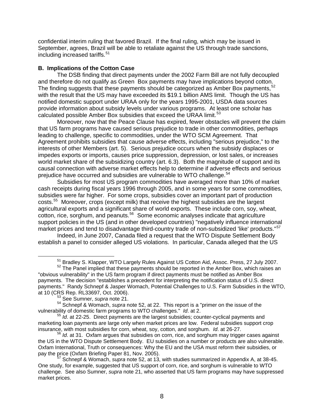confidential interim ruling that favored Brazil. If the final ruling, which may be issued in September, agrees, Brazil will be able to retaliate against the US through trade sanctions, including increased tariffs.<sup>[51](#page-8-0)</sup>

## **B. Implications of the Cotton Case**

The DSB finding that direct payments under the 2002 Farm Bill are not fully decoupled and therefore do not qualify as Green Box payments may have implications beyond cotton. The finding suggests that these payments should be categorized as Amber Box payments,  $52$ with the result that the US may have exceeded its \$19.1 billion AMS limit. Though the US has notified domestic support under URAA only for the years 1995-2001, USDA data sources provide information about subsidy levels under various programs. At least one scholar has calculated possible Amber Box subsidies that exceed the URAA limit.<sup>[53](#page-8-2)</sup>

Moreover, now that the Peace Clause has expired, fewer obstacles will prevent the claim that US farm programs have caused serious prejudice to trade in other commodities, perhaps leading to challenge, specific to commodities, under the WTO SCM Agreement. That Agreement prohibits subsidies that cause adverse effects, including "serious prejudice," to the interests of other Members (art. 5). Serious prejudice occurs when the subsidy displaces or impedes exports or imports, causes price suppression, depression, or lost sales, or increases world market share of the subsidizing country (art. 6.3). Both the magnitude of support and its causal connection with adverse market effects help to determine if adverse effects and serious prejudice have occurred and subsidies are vulnerable to WTO challenge.<sup>[54](#page-8-3)</sup>

Subsidies for most US program commodities have averaged more than 10% of market cash receipts during fiscal years 1996 through 2005, and in some years for some commodities, subsidies were far higher. For some crops, subsidies cover an important part of production costs.[55](#page-8-4) Moreover, crops (except milk) that receive the highest subsidies are the largest agricultural exports and a significant share of world exports. These include corn, soy, wheat, cotton, rice, sorghum, and peanuts.<sup>[56](#page-8-5)</sup> Some economic analyses indicate that agriculture support policies in the US (and in other developed countries) "negatively influence international market prices and tend to disadvantage third-country trade of non-subsidized 'like' products."<sup>[57](#page-8-6)</sup>

Indeed, in June 2007, Canada filed a request that the WTO Dispute Settlement Body establish a panel to consider alleged US violations. In particular, Canada alleged that the US

 $51$  Bradley S. Klapper, WTO Largely Rules Against US Cotton Aid, Assoc. Press, 27 July 2007.<br> $52$  The Panel implied that these payments should be reported in the Amber Box, which raises an

<span id="page-8-1"></span><span id="page-8-0"></span><sup>&</sup>quot;obvious vulnerability" in the US farm program if direct payments must be notified as Amber Box payments. The decision "establishes a precedent for interpreting the notification status of U.S. direct payments." Randy Schnepf & Jasper Womach, Potential Challenges to U.S. Farm Subsidies in the WTO,

<sup>&</sup>lt;sup>53</sup> See Sumner, *supra* note 21.

<span id="page-8-3"></span><span id="page-8-2"></span><sup>54</sup> Schnepf & Womach, *supra* note 52, at 22. This report is a "primer on the issue of the vulnerability of domestic farm programs to WTO challenges." *Id*. at 2.

<span id="page-8-4"></span><sup>55</sup> *Id*. at 22-25. Direct payments are the largest subsidies; counter-cyclical payments and marketing loan payments are large only when market prices are low. Federal subsidies support crop insurance, with most subsidies for corn, wheat, soy, cotton, and sorghum. *Id*. at 26-27.

<span id="page-8-5"></span><sup>&</sup>lt;sup>56'</sup>Id. at 31. Oxfam argues that subsidies on corn, rice, and sorghum may trigger cases against the US in the WTO Dispute Settlement Body. EU subsidies on a number or products are also vulnerable. Oxfam International, Truth or consequences: Why the EU and the USA must reform their subsidies, or pay the price (Oxfam Briefing Paper 81, Nov. 2005).<br><sup>57</sup> Schnepf & Womach, *supra* note 52, at 13, with studies summarized in Appendix A, at 38-45.

<span id="page-8-6"></span>One study, for example, suggested that US support of corn, rice, and sorghum is vulnerable to WTO challenge. See also Sumner, *supra* note 21, who asserted that US farm programs may have suppressed market prices.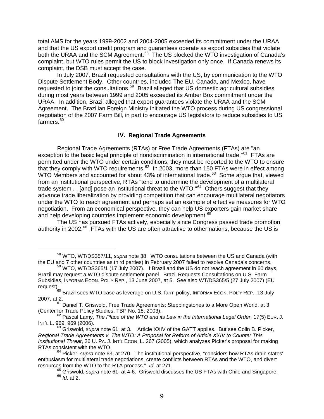total AMS for the years 1999-2002 and 2004-2005 exceeded its commitment under the URAA and that the US export credit program and guarantees operate as export subsidies that violate both the URAA and the SCM Agreement.<sup>[58](#page-9-0)</sup> The US blocked the WTO investigation of Canada's complaint, but WTO rules permit the US to block investigation only once. If Canada renews its complaint, the DSB must accept the case.

In July 2007, Brazil requested consultations with the US, by communication to the WTO Dispute Settlement Body. Other countries, included The EU, Canada, and Mexico, have requested to joint the consultations.[59](#page-9-1) Brazil alleged that US domestic agricultural subsidies during most years between 1999 and 2005 exceeded its Amber Box commitment under the URAA. In addition, Brazil alleged that export guarantees violate the URAA and the SCM Agreement. The Brazilian Foreign Ministry initiated the WTO process during US congressional negotiation of the 2007 Farm Bill, in part to encourage US legislators to reduce subsidies to US  $f$ armers. $60$ 

## **IV. Regional Trade Agreements**

Regional Trade Agreements (RTAs) or Free Trade Agreements (FTAs) are "an exception to the basic legal principle of nondiscrimination in international trade."<sup>[61](#page-9-3)</sup> FTAs are permitted under the WTO under certain conditions; they must be reported to the WTO to ensure that they comply with WTO requirements. $62$  In 2003, more than 150 FTAs were in effect among WTO Members and accounted for about 43% of international trade.<sup>[63](#page-9-5)</sup> Some argue that, viewed from an institutional perspective, RTAs "tend to undermine the development of a multilateral trade system . . [and] pose an institutional threat to the WTO."<sup>[64](#page-9-6)</sup> Others suggest that they advance trade liberalization by providing competition that can encourage multilateral negotiators under the WTO to reach agreement and perhaps set an example of effective measures for WTO negotiation. From an economical perspective, they can help US exporters gain market share and help developing countries implement economic development.<sup>[65](#page-9-7)</sup>

The US has pursued FTAs actively, especially since Congress passed trade promotion authority in 2002.<sup>[66](#page-9-8)</sup> FTAs with the US are often attractive to other nations, because the US is

<span id="page-9-0"></span><sup>&</sup>lt;sup>58</sup> WTO, WT/DS357/11, *supra* note 38. WTO consultations between the US and Canada (with the EU and 7 other countries as third parties) in February 2007 failed to resolve Canada's concerns.

<span id="page-9-1"></span> $59$  WTO, WT/DS365/1 (17 July 2007). If Brazil and the US do not reach agreement in 60 days, Brazil may request a WTO dispute settlement panel. Brazil Requests Consultations on U.S. Farm Subsidies, INFORMA ECON. POL'Y REP., 13 June 2007, at 5. See also WT/DS365/5 (27 July 2007) (EU

<span id="page-9-2"></span>request).<br><sup>60</sup> Brazil sees WTO case as leverage on U.S. farm policy, INFORMA ECON. POL'Y REP., 13 July 2007, at 2.

 $61$  Daniel T. Griswold, Free Trade Agreements: Steppingstones to a More Open World, at 3

<span id="page-9-4"></span><span id="page-9-3"></span><sup>(</sup>Center for Trade Policy Studies, TBP No. 18, 2003).<br><sup>62</sup> Pascal Lamy, *The Place of the WTO and its Law in the International Legal Order,* 17(5) EUR. J.<br>INT'L L. 969, 969 (2006).

<span id="page-9-5"></span><sup>&</sup>lt;sup>63</sup> Griswold, *supra* note 61, at 3. Article XXIV of the GATT applies. But see Colin B. Picker, *Regional Trade Agreements v. The WTO: A Proposal for Reform of Article XXIV to Counter This Institutional Threat*, 26 U. PA. J. INT'L ECON. L. 267 (2005), which analyzes Picker's proposal for making RTAs consistent with the WTO.

<span id="page-9-8"></span><span id="page-9-7"></span><span id="page-9-6"></span><sup>64</sup> Picker, *supra* note 63, at 270. The institutional perspective, "considers how RTAs drain states' enthusiasm for multilateral trade negotiations, create conflicts between RTAs and the WTO, and divert resources from the WTO to the RTA process." *Id*. at 271.

<sup>65</sup> Griswold, *supra* note 61, at 4-6. Griswold discusses the US FTAs with Chile and Singapore. 66 *Id*. at 2.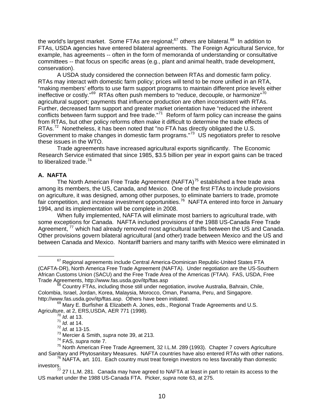the world's largest market. Some FTAs are regional;<sup>[67](#page-10-0)</sup> others are bilateral.<sup>[68](#page-10-1)</sup> In addition to FTAs, USDA agencies have entered bilateral agreements. The Foreign Agricultural Service, for example, has agreements -- often in the form of memoranda of understanding or consultative committees -- that focus on specific areas (e.g., plant and animal health, trade development, conservation).

A USDA study considered the connection between RTAs and domestic farm policy. RTAs may interact with domestic farm policy; prices will tend to be more unified in an RTA, "making members' efforts to use farm support programs to maintain different price levels either ineffective or costly."<sup>[69](#page-10-2)</sup> RTAs often push members to "reduce, decouple, or harmonize"<sup>[70](#page-10-3)</sup> agricultural support; payments that influence production are often inconsistent with RTAs. Further, decreased farm support and greater market orientation have "reduced the inherent conflicts between farm support and free trade."<sup>[71](#page-10-4)</sup> Reform of farm policy can increase the gains from RTAs, but other policy reforms often make it difficult to determine the trade effects of RTAs.<sup>[72](#page-10-5)</sup> Nonetheless, it has been noted that "no FTA has directly obligated the U.S. Government to make changes in domestic farm programs."<sup>[73](#page-10-6)</sup> US negotiators prefer to resolve these issues in the WTO.

Trade agreements have increased agricultural exports significantly. The Economic Research Service estimated that since 1985, \$3.5 billion per year in export gains can be traced to liberalized trade.<sup>[74](#page-10-7)</sup>

#### **A. NAFTA**

The North American Free Trade Agreement (NAFTA)<sup>[75](#page-10-8)</sup> established a free trade area among its members, the US, Canada, and Mexico. One of the first FTAs to include provisions on agriculture, it was designed, among other purposes, to eliminate barriers to trade, promote fair competition, and increase investment opportunities.<sup>[76](#page-10-9)</sup> NAFTA entered into force in January 1994, and its implementation will be complete in 2008.

When fully implemented, NAFTA will eliminate most barriers to agricultural trade, with some exceptions for Canada. NAFTA included provisions of the 1988 US-Canada Free Trade Agreement,  $77$  which had already removed most agricultural tariffs between the US and Canada. Other provisions govern bilateral agricultural (and other) trade between Mexico and the US and between Canada and Mexico. Nontariff barriers and many tariffs with Mexico were eliminated in

<span id="page-10-0"></span><sup>&</sup>lt;sup>67</sup> Regional agreements include Central America-Dominican Republic-United States FTA (CAFTA-DR), North America Free Trade Agreement (NAFTA). Under negotiation are the US-Southern African Customs Union (SACU) and the Free Trade Area of the Americas (FTAA). FAS, USDA, Free<br>Trade Agreements, http://www.fas.usda.gov/itp/ftas.asp

<span id="page-10-1"></span>Country FTAs, including those still under negotiation, involve Australia, Bahrain, Chile, Colombia, Israel, Jordan, Korea, Malaysia, Morocco, Oman, Panama, Peru, and Singapore. http://www.fas.usda.gov/itp/ftas.asp. Others have been initiated.

<span id="page-10-4"></span><span id="page-10-3"></span><span id="page-10-2"></span> $69$  Mary E. Burfisher & Elizabeth A. Jones, eds., Regional Trade Agreements and U.S. Agriculture, at 2, ERS, USDA, AER 771 (1998).

<sup>71</sup> *Id*. at 14.

<sup>72</sup> *Id*. at 13-15.

<sup>73</sup> Mercier & Smith, *supra* note 39, at 213.

<sup>74</sup> FAS, *supra* note 7.

<span id="page-10-8"></span><span id="page-10-7"></span><span id="page-10-6"></span><span id="page-10-5"></span><sup>75</sup> North American Free Trade Agreement, 32 I.L.M. 289 (1993). Chapter 7 covers Agriculture and Sanitary and Phytosanitary Measures. NAFTA countries have also entered RTAs with other nations.

 $76$  NAFTA, art. 101. Each country must treat foreign investors no less favorably than domestic

<span id="page-10-10"></span><span id="page-10-9"></span>investors.<br><sup>77</sup> 27 I.L.M. 281. Canada may have agreed to NAFTA at least in part to retain its access to the US market under the 1988 US-Canada FTA. Picker, *supra* note 63, at 275.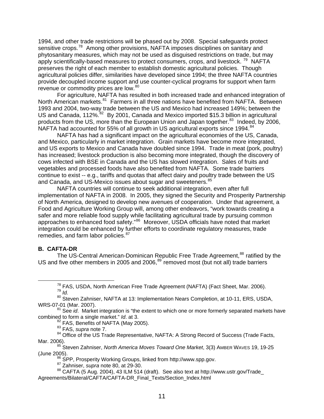1994, and other trade restrictions will be phased out by 2008. Special safeguards protect sensitive crops.<sup>[78](#page-11-0)</sup> Among other provisions, NAFTA imposes disciplines on sanitary and phytosanitary measures, which may not be used as disguised restrictions on trade, but may apply scientifically-based measures to protect consumers, crops, and livestock.<sup>[79](#page-11-1)</sup> NAFTA preserves the right of each member to establish domestic agricultural policies. Though agricultural policies differ, similarities have developed since 1994; the three NAFTA countries provide decoupled income support and use counter-cyclical programs for support when farm revenue or commodity prices are low.<sup>[80](#page-11-2)</sup>

For agriculture, NAFTA has resulted in both increased trade and enhanced integration of North American markets.<sup>[81](#page-11-3)</sup> Farmers in all three nations have benefited from NAFTA. Between 1993 and 2004, two-way trade between the US and Mexico had increased 149%; between the US and Canada, 112%.<sup>[82](#page-11-4)</sup> By 2001, Canada and Mexico imported \$15.3 billion in agricultural products from the US, more than the European Union and Japan together.<sup>[83](#page-11-5)</sup> Indeed, by 2006, NAFTA had accounted for 55% of all growth in US agricultural exports since 1994.<sup>[84](#page-11-6)</sup>

NAFTA has had a significant impact on the agricultural economies of the US, Canada, and Mexico, particularly in market integration. Grain markets have become more integrated, and US exports to Mexico and Canada have doubled since 1994. Trade in meat (pork, poultry) has increased; livestock production is also becoming more integrated, though the discovery of cows infected with BSE in Canada and the US has slowed integration. Sales of fruits and vegetables and processed foods have also benefited from NAFTA. Some trade barriers continue to exist -- e.g., tariffs and quotas that affect dairy and poultry trade between the US and Canada, and US-Mexico issues about sugar and sweeteners.<sup>[85](#page-11-7)</sup>

NAFTA countries will continue to seek additional integration, even after full implementation of NAFTA in 2008. In 2005, they signed the Security and Prosperity Partnership of North America, designed to develop new avenues of cooperation. Under that agreement, a Food and Agriculture Working Group will, among other endeavors, "work towards creating a safer and more reliable food supply while facilitating agricultural trade by pursuing common approaches to enhanced food safety."<sup>[86](#page-11-8)</sup> Moreover, USDA officials have noted that market integration could be enhanced by further efforts to coordinate regulatory measures, trade remedies, and farm labor policies.<sup>[87](#page-11-9)</sup>

#### <span id="page-11-11"></span>**B. CAFTA-DR**

The US-Central American-Dominican Republic Free Trade Agreement,<sup>[88](#page-11-10)</sup> ratified by the US and five other members in 2005 and 2006,<sup>[89](#page-11-11)</sup> removed most (but not all) trade barriers

<sup>82</sup> FAS, Benefits of NAFTA (May 2005).<br><sup>83</sup> FAS, *supra* note 7.

 <sup>78</sup> FAS, USDA, North American Free Trade Agreement (NAFTA) (Fact Sheet, Mar. 2006). 79 *Id.* 

<span id="page-11-2"></span><span id="page-11-1"></span><span id="page-11-0"></span><sup>&</sup>lt;sup>80</sup> Steven Zahniser, NAFTA at 13: Implementation Nears Completion, at 10-11, ERS, USDA,<br>WRS-07-01 (Mar. 2007).

<span id="page-11-3"></span><sup>&</sup>lt;sup>81</sup> See *id.* Market integration is "the extent to which one or more formerly separated markets have combined to form a single market." *Id*. at 3.

<span id="page-11-6"></span><span id="page-11-5"></span><span id="page-11-4"></span><sup>83</sup> FAS, *supra* note 7.<br><sup>84</sup> Office of the US Trade Representative, NAFTA: A Strong Record of Success (Trade Facts, Mar. 2006).

<span id="page-11-7"></span><sup>&</sup>lt;sup>85</sup> Steven Zahniser, *North America Moves Toward One Market*, 3(3) AMBER WAVES 19, 19-25 (June 2005). 86 SPP, Prosperity Working Groups, linked from http://www.spp.gov. 87 Zahniser, *supra* note 80, at 29-30.

<span id="page-11-10"></span><span id="page-11-9"></span><span id="page-11-8"></span><sup>88</sup> CAFTA (5 Aug. 2004), 43 ILM 514 (draft). See also text at http://www.ustr.gov/Trade Agreements/Bilateral/CAFTA/CAFTA-DR\_Final\_Texts/Section\_Index.html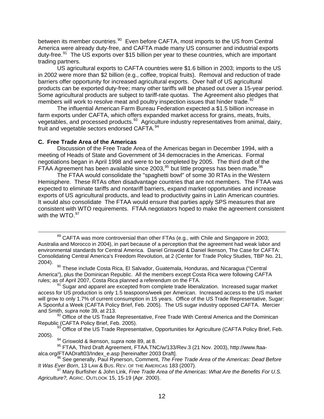between its member countries.<sup>[90](#page-12-0)</sup> Even before CAFTA, most imports to the US from Central America were already duty-free, and CAFTA made many US consumer and industrial exports duty-free. $91$  The US exports over \$15 billion per year to these countries, which are important trading partners.

US agricultural exports to CAFTA countries were \$1.6 billion in 2003; imports to the US in 2002 were more than \$2 billion (e.g., coffee, tropical fruits). Removal and reduction of trade barriers offer opportunity for increased agricultural exports. Over half of US agricultural products can be exported duty-free; many other tariffs will be phased out over a 15-year period. Some agricultural products are subject to tariff-rate quotas. The Agreement also pledges that members will work to resolve meat and poultry inspection issues that hinder trade.<sup>[92](#page-12-2)</sup>

The influential American Farm Bureau Federation expected a \$1.5 billion increase in farm exports under CAFTA, which offers expanded market access for grains, meats, fruits, vegetables, and processed products.<sup>[93](#page-12-3)</sup> Agriculture industry representatives from animal, dairy, fruit and vegetable sectors endorsed CAFTA.<sup>[94](#page-12-4)</sup>

#### **C. Free Trade Area of the Americas**

Discussion of the Free Trade Area of the Americas began in December 1994, with a meeting of Heads of State and Government of 34 democracies in the Americas. Formal negotiations began in April 1998 and were to be completed by 2005. The third draft of the FTAA Agreement has been available since 2003,  $95$  but little progress has been made.  $96$ 

The FTAA would consolidate the "spaghetti bowl" of some 30 RTAs in the Western Hemisphere. These RTAs often disadvantage countries that are not members. The FTAA was expected to eliminate tariffs and nontariff barriers, expand market opportunities and increase exports of US agricultural products, and lead to productivity gains in Latin American countries. It would also consolidate The FTAA would ensure that parties apply SPS measures that are consistent with WTO requirements. FTAA negotiators hoped to make the agreement consistent with the WTO. [97](#page-12-7)

 $89$  CAFTA was more controversial than other FTAs (e.g., with Chile and Singapore in 2003; Australia and Morocco in 2004), in part because of a perception that the agreement had weak labor and environmental standards for Central America. Daniel Griswold & Daniel Ikenson, The Case for CAFTA: Consolidating Central America's Freedom Revolution, at 2 (Center for Trade Policy Studies, TBP No. 21,

<span id="page-12-0"></span>2004). 90 These include Costa Rica, El Salvador, Guatemala, Honduras, and Nicaragua ("Central America"), plus the Dominican Republic. All the members except Costa Rica were following CAFTA rules; as of April 2007, Costa Rica planned a referendum on the FTA.

<span id="page-12-1"></span>Sugar and apparel are excepted from complete trade liberalization. Increased sugar market access for US production is only 1.5 teaspoons/week per American. Increased access to the US market will grow to only 1.7% of current consumption in 15 years. Office of the US Trade Representative, Sugar: A Spoonful a Week (CAFTA Policy Brief, Feb. 2005). The US sugar industry opposed CAFTA. Mercier and Smith, *supra* note 39, at 213.

<span id="page-12-2"></span><sup>92</sup> Office of the US Trade Representative, Free Trade With Central America and the Dominican Republic (CAFTA Policy Brief, Feb. 2005).

<span id="page-12-3"></span><sup>93</sup> Office of the US Trade Representative, Opportunities for Agriculture (CAFTA Policy Brief, Feb. 2005).

<sup>94</sup> Griswold & Ikenson, *supra* note 89, at 8.

<span id="page-12-5"></span><span id="page-12-4"></span><sup>95</sup> FTAA, Third Draft Agreement, FTAA.TNC/w/133/Rev.3 (21 Nov. 2003), http://www.ftaa-<br>alca.org/FTAADraft03/Index\_e.asp [hereinafter 2003 Draft].

<span id="page-12-6"></span><sup>96</sup> See generally, Paul Rynerson, Comment, *The Free Trade Area of the Americas: Dead Before*<br>*It Was Ever Born*, 13 LAW & Bus. Rev. OF THE AMERICAS 183 (2007).

<span id="page-12-7"></span>*It Was Ever Born*, 13 LAW & BUS. REV. OF THE AMERICAS 183 (2007). 97 Mary Burfisher & John Link, *Free Trade Area of the Americas: What Are the Benefits For U.S. Agriculture?,* AGRIC. OUTLOOK 15, 15-19 (Apr. 2000).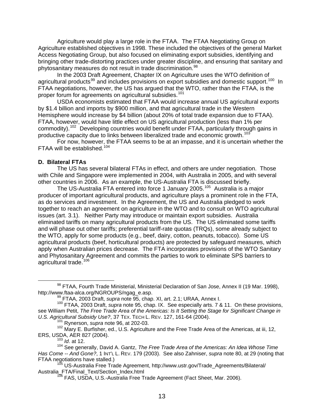Agriculture would play a large role in the FTAA. The FTAA Negotiating Group on Agriculture established objectives in 1998. These included the objectives of the general Market Access Negotiating Group, but also focused on eliminating export subsidies, identifying and bringing other trade-distorting practices under greater discipline, and ensuring that sanitary and phytosanitary measures do not result in trade discrimination.<sup>[98](#page-13-0)</sup>

In the 2003 Draft Agreement, Chapter IX on Agriculture uses the WTO definition of agricultural products<sup>[99](#page-13-1)</sup> and includes provisions on export subsidies and domestic support.<sup>[100](#page-13-2)</sup> In FTAA negotiations, however, the US has argued that the WTO, rather than the FTAA, is the proper forum for agreements on agricultural subsidies.<sup>[101](#page-13-3)</sup>

USDA economists estimated that FTAA would increase annual US agricultural exports by \$1.4 billion and imports by \$900 million, and that agricultural trade in the Western Hemisphere would increase by \$4 billion (about 20% of total trade expansion due to FTAA). FTAA, however, would have little effect on US agricultural production (less than 1% per commodity).<sup>[102](#page-13-4)</sup> Developing countries would benefit under FTAA, particularly through gains in productive capacity due to links between liberalized trade and economic growth.<sup>[103](#page-13-5)</sup>

For now, however, the FTAA seems to be at an impasse, and it is uncertain whether the FTAA will be established.<sup>[104](#page-13-6)</sup>

#### **D. Bilateral FTAs**

The US has several bilateral FTAs in effect, and others are under negotiation. Those with Chile and Singapore were implemented in 2004, with Australia in 2005, and with several other countries in 2006. As an example, the US-Australia FTA is discussed briefly.

The US-Australia FTA entered into force 1 January 2005.<sup>[105](#page-13-7)</sup> Australia is a major producer of important agricultural products, and agriculture plays a prominent role in the FTA, as do services and investment. In the Agreement, the US and Australia pledged to work together to reach an agreement on agriculture in the WTO and to consult on WTO agricultural issues (art. 3.1). Neither Party may introduce or maintain export subsidies. Australia eliminated tariffs on many agricultural products from the US. The US eliminated some tariffs and will phase out other tariffs; preferential tariff-rate quotas (TRQs), some already subject to the WTO, apply for some products (e.g., beef, dairy, cotton, peanuts, tobacco). Some US agricultural products (beef, horticultural products) are protected by safeguard measures, which apply when Australian prices decrease. The FTA incorporates provisions of the WTO Sanitary and Phytosanitary Agreement and commits the parties to work to eliminate SPS barriers to agricultural trade.<sup>[106](#page-13-8)</sup>

<span id="page-13-4"></span><span id="page-13-3"></span>102 Mary E. Burfisher, ed., U.S. Agriculture and the Free Trade Area of the Americas, at iii, 12, ERS, USDA, AER 827 (2004). 103 *Id*. at 12.

<sup>106</sup> FAS, USDA, U.S.-Australia Free Trade Agreement (Fact Sheet, Mar. 2006).

<span id="page-13-0"></span><sup>&</sup>lt;sup>98</sup> FTAA, Fourth Trade Ministerial, Ministerial Declaration of San Jose, Annex II (19 Mar. 1998), http://www.ftaa-alca.org/NGROUPS/ngag e.asp.

<span id="page-13-2"></span><span id="page-13-1"></span><sup>&</sup>lt;sup>99</sup> FTAA, 2003 Draft, *supra* note 95, chap. XI, art. 2.1; URAA, Annex I.<br><sup>100</sup> FTAA, 2003 Draft, *supra* note 95, chap. IX. See especially arts. 7 & 11. On these provisions, see William Petit, *The Free Trade Area of the Americas: Is It Setting the Stage for Significant Change in U.S. Agricultural Subsidy Use?*, 37 TEX. TECH L. REV. 127, 161-64 (2004).<br><sup>101</sup> Rynerson, *supra* note 96, at 202-03.

<span id="page-13-6"></span><span id="page-13-5"></span><sup>104</sup> See generally, David A. Gantz, *The Free Trade Area of the Americas: An Idea Whose Time Has Come -- And Gone?*, 1 INT'L L. REV. 179 (2003). See also Zahniser, *supra* note 80, at 29 (noting that FTAA negotiations have stalled.)<br><sup>105</sup> US-Australia Free Trade Agreement, http://www.ustr.gov/Trade\_Agreements/Bilateral/

<span id="page-13-8"></span><span id="page-13-7"></span>Australia\_FTA/Final\_Text/Section\_Index.html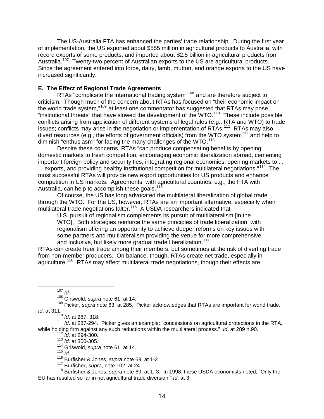The US-Australia FTA has enhanced the parties' trade relationship. During the first year of implementation, the US exported about \$555 million in agricultural products to Australia, with record exports of some products, and imported about \$2.5 billion in agricultural products from Australia.<sup>[107](#page-14-0)</sup> Twenty-two percent of Australian exports to the US are agricultural products. Since the agreement entered into force, dairy, lamb, mutton, and orange exports to the US have increased significantly.

## **E. The Effect of Regional Trade Agreements**

RTAs "complicate the international trading system"[108](#page-14-1) and are therefore subject to criticism. Though much of the concern about RTAs has focused on "their economic impact on the world trade system,"<sup>[109](#page-14-2)</sup> at least one commentator has suggested that RTAs may pose "institutional threats" that have slowed the development of the WTO.[110](#page-14-3) These include possible conflicts arising from application of different systems of legal rules (e.g., RTA and WTO) to trade issues; conflicts may arise in the negotiation or implementation of RTAs.<sup>[111](#page-14-4)</sup> RTAs may also divert resources (e.g., the efforts of government officials) from the WTO system<sup>[112](#page-14-5)</sup> and help to diminish "enthusiasm" for facing the many challenges of the WTO. $113$ 

Despite these concerns, RTAs "can produce compensating benefits by opening domestic markets to fresh competition, encouraging economic liberalization abroad, cementing important foreign policy and security ties, integrating regional economies, opening markets to . . . . exports, and providing healthy institutional competition for multilateral negotiations."<sup>[114](#page-14-7)</sup> The most successful RTAs will provide new export opportunities for US products and enhance competition in US markets. Agreements with agricultural countries, e.g., the FTA with Australia, can help to accomplish these goals.<sup>[115](#page-14-8)</sup>

Of course, the US has long advocated the multilateral liberalization of global trade through the WTO. For the US, however, RTAs are an important alternative, especially when multilateral trade negotiations falter.<sup>[116](#page-14-9)</sup> A USDA researchers indicated that

U.S. pursuit of regionalism complements its pursuit of multilateralism [in the WTO]. Both strategies reinforce the same principles of trade liberalization, with regionalism offering an opportunity to achieve deeper reforms on key issues with some partners and multilateralism providing the venue for more comprehensive and inclusive, but likely more gradual trade liberalization.<sup>[117](#page-14-10)</sup>

RTAs can create freer trade among their members, but sometimes at the risk of diverting trade from non-member producers. On balance, though, RTAs create net trade, especially in agriculture.<sup>[118](#page-14-11)</sup> RTAs may affect multilateral trade negotiations, though their effects are

107 *Id.*

<sup>110</sup> *Id*. at 287, 318.

<span id="page-14-6"></span><span id="page-14-5"></span><span id="page-14-4"></span><span id="page-14-3"></span><sup>111</sup> *Id*. at 287-294. Picker gives an example: "concessions on agricultural protections in the RTA, while holding firm against any such reductions within the multilateral process." *Id*. at 289 n.90.

<sup>112</sup> *Id.* at 294-300.

<sup>113</sup> *Id.* at 300-305.

114 Griswold, *supra* note 61, at 14.<br><sup>115</sup> Id

<sup>115</sup> *Id*. 116 Burfisher & Jones, *supra* note 69, at 1-2.

117 Burfisher, *supra*, note 102, at 24.

<span id="page-14-11"></span><span id="page-14-10"></span><span id="page-14-9"></span><span id="page-14-8"></span><span id="page-14-7"></span>118 Burfisher & Jones, *supra* note 69, at 1, 3. In 1998, these USDA economists noted, "Only the EU has resulted so far in net agricultural trade diversion." *Id*. at 3.

<sup>108</sup> Griswold, *supra* note 61, at 14.

<span id="page-14-2"></span><span id="page-14-1"></span><span id="page-14-0"></span><sup>109</sup> Picker, *supra* note 63, at 285. Picker acknowledges that RTAs are important for world trade. *Id*. at 311.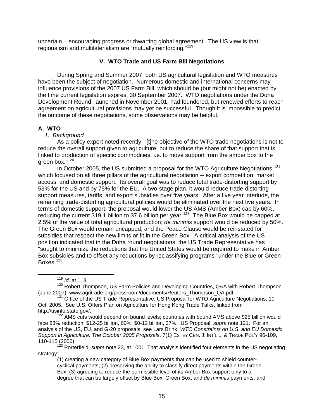uncertain – encouraging progress or thwarting global agreement. The US view is that regionalism and multilaterialism are "mutually reinforcing."[119](#page-15-0)

## **V. WTO Trade and US Farm Bill Negotiations**

 During Spring and Summer 2007, both US agricultural legislation and WTO measures have been the subject of negotiation. Numerous domestic and international concerns may influence provisions of the 2007 US Farm Bill, which should be (but might not be) enacted by the time current legislation expires, 30 September 2007. WTO negotiations under the Doha Development Round, launched in November 2001, had foundered, but renewed efforts to reach agreement on agricultural provisions may yet be successful. Though it is impossible to predict the outcome of these negotiations, some observations may be helpful.

## **A. WTO**

#### *1. Background*

As a policy expert noted recently, "[t]he objective of the WTO trade negotiations is not to reduce the overall support given to agriculture, but to reduce the share of that support that is linked to production of specific commodities, i.e. to move support from the amber box to the green box."[120](#page-15-1)

In October 2005, the US submitted a proposal for the WTO Agriculture Negotiations.<sup>[121](#page-15-2)</sup> which focused on all three pillars of the agricultural negotiation -- export competition, market access, and domestic support. Its overall goal was to reduce total trade-distorting support by 53% for the US and by 75% for the EU. A two-stage plan, it would reduce trade-distorting support measures, tariffs, and export subsidies over five years. After a five year interlude, the remaining trade-distorting agricultural policies would be eliminated over the next five years. In terms of domestic support, the proposal would lower the US AMS (Amber Box) cap by 60%, reducing the current \$19.1 billion to \$7.6 billion per year.<sup>[122](#page-15-3)</sup> The Blue Box would be capped at 2.5% of the value of total agricultural production; *de minimis* support would be reduced by 50%. The Green Box would remain uncapped, and the Peace Clause would be reinstated for subsidies that respect the new limits or fit in the Green Box. A critical analysis of the US position indicated that in the Doha round negotiations, the US Trade Representative has "sought to minimize the reductions that the United States would be required to make in Amber Box subsidies and to offset any reductions by reclassifying programs" under the Blue or Green Boxes.<sup>[123](#page-15-4)</sup>

<span id="page-15-3"></span>face 83% reduction; \$12-25 billion, 60%; \$0-12 billion, 37%. US Proposal, *supra* note 121. For an analysis of the US, EU, and G-20 proposals, see Lars Brink, *WTO Constraints on U.S. and EU Domestic Support in Agriculture: The October 2005 Proposals*, 7(1) ESTEY CEN. J. INT'L L. & TRADE POL'Y 96-109,

<span id="page-15-4"></span>110-115 (2006). 123 Porterfield, *supra* note 23, at 1001. That analysis identified four elements in the US negotiating strategy:

(1) creating a new category of Blue Box payments that can be used to shield countercyclical payments; (2) preserving the ability to classify direct payments within the Green Box; (3) agreeing to reduce the permissible level of its Amber Box support only to a degree that can be largely offset by Blue Box, Green Box, and *de minimis* payments; and

 <sup>119</sup> *Id*. at 1, 3.

<span id="page-15-1"></span><span id="page-15-0"></span><sup>120</sup> Robert Thompson, US Farm Policies and Developing Countries, Q&A with Robert Thompson<br>(June 2007), www.agritrade.org/pressroom/documents/Reuters\_Thompson\_QA.pdf.

<span id="page-15-2"></span> $121$  Office of the US Trade Representative, US Proposal for WTO Agriculture Negotiations, 10 Oct. 2005. See U.S. Offers Plan on Agriculture for Hong Kong Trade Talks, linked from http://usinfo.state.gov/.<br><sup>122</sup> AMS cuts would depend on bound levels; countries with bound AMS above \$25 billion would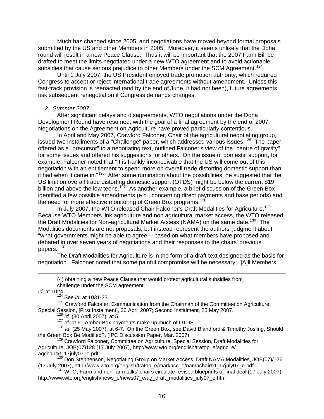Much has changed since 2005, and negotiations have moved beyond formal proposals submitted by the US and other Members in 2005. Moreover, it seems unlikely that the Doha round will result in a new Peace Clause. Thus it will be important that the 2007 Farm Bill be drafted to meet the limits negotiated under a new WTO agreement and to avoid actionable subsidies that cause serious prejudice to other Members under the SCM Agreement.<sup>[124](#page-16-0)</sup>

Until 1 July 2007, the US President enjoyed trade promotion authority, which required Congress to accept or reject international trade agreements without amendment. Unless this fast-track provision is reenacted (and by the end of June, it had not been), future agreements risk subsequent renegotiation if Congress demands changes.

#### *2. Summer 2007*

After significant delays and disagreements, WTO negotiations under the Doha Development Round have resumed, with the goal of a final agreement by the end of 2007. Negotiations on the Agreement on Agriculture have proved particularly contentious.

In April and May 2007, Crawford Falconer, Chair of the agricultural negotiating group, issued two installments of a "Challenge" paper, which addressed various issues.<sup>[125](#page-16-1)</sup> The paper, offered as a "precursor" to a negotiating text, outlined Falconer's view of the "centre of gravity" for some issues and offered his suggestions for others. On the issue of domestic support, for example, Falconer noted that "It is frankly inconceivable that the US will come out of this negotiation with an entitlement to spend more on overall trade distorting domestic support than it had when it came in."[126](#page-16-2) After some rumination about the possibilities, he suggested that the US limit on overall trade distorting domestic support (OTDS) might be below the current \$19 billion and above the low teens.<sup>[127](#page-16-3)</sup> As another example, a brief discussion of the Green Box identified a few possible amendments (e.g., concerning direct payments and base periods) and the need for more effective monitoring of Green Box programs.<sup>[128](#page-16-4)</sup>

In July 2007, the WTO released Chair Falconer's Draft Modalities for Agriculture.<sup>[129](#page-16-5)</sup> Because WTO Members link agriculture and non agricultural market access, the WTO released the Draft Modalities for Non-agricultural Market Access (NAMA) on the same date.<sup>[130](#page-16-6)</sup> The Modalities documents are not proposals, but instead represent the authors' judgment about "what governments might be able to agree -- based on what members have proposed and debated in over seven years of negotiations and their responses to the chairs' previous papers."[131](#page-16-7)

The Draft Modalities for Agriculture is in the form of a draft text designed as the basis for negotiation. Falconer noted that some painful compromise will be necessary: "[A]ll Members

*Id.* at 1024.

124 See *id.* at 1031-33.

<span id="page-16-1"></span><span id="page-16-0"></span>125 Crawford Falconer, Communication from the Chairman of the Committee on Agriculture, Special Session, [First Instalment], 30 April 2007; Second Instalment, 25 May 2007.<br><sup>126</sup> *Id.* (30 April 2007), at 5.<br><sup>127</sup> *Id.* at 6. Amber Box payments make up much of OTDS.

<span id="page-16-4"></span><span id="page-16-3"></span><span id="page-16-2"></span><sup>128</sup> *Id*. (25 May 2007), at 6-7. On the Green Box, see David Blandford & Timothy Josling, Should the Green Box Be Modified?, (IPC Discussion Paper, Mar. 2007).<br><sup>129</sup> Crawford Falconer, Committee on Agriculture, Special Session, Draft Modalities for

<span id="page-16-5"></span>Agriculture, JOB(07)128 (17 July 2007), http://www.wto.org/english/tratop\_e/agric\_e/

<span id="page-16-6"></span>agchairtxt\_17july07\_e.pdf.<br><sup>130</sup> Don Stephenson, Negotiating Group on Market Access, Draft NAMA Modalities, JOB(07)/126 (17 July 2007), http://www.wto.org/english/tratop\_e/markacc\_e/namachairtxt\_17july07\_e.pdf. 131 WTO, Farm and non-farm talks' chairs circulate revised blueprints of final deal (17 July 2007),

<span id="page-16-7"></span>http://www.wto.org/english/news\_e/news07\_e/ag\_draft\_modalities\_july07\_e.htm

 <sup>(4)</sup> obtaining a new Peace Clause that would protect agricultural subsidies from challenge under the SCM agreement.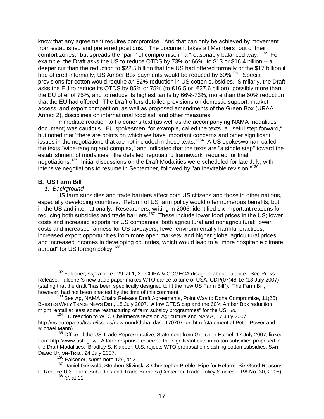know that any agreement requires compromise. And that can only be achieved by movement from established and preferred positions." The document takes all Members "out of their comfort zones," but spreads the "pain" of compromise in a "reasonably balanced way."[132](#page-17-0) For example, the Draft asks the US to reduce OTDS by 73% or 66%, to \$13 or \$16.4 billion -- a deeper cut than the reduction to \$22.5 billion that the US had offered formally or the \$17 billion it had offered informally; US Amber Box payments would be reduced by 60%.<sup>[133](#page-17-1)</sup> Special provisions for cotton would require an 82% reduction in US cotton subsidies. Similarly, the Draft asks the EU to reduce its OTDS by 85% or 75% (to €16.5 or €27.6 billion), possibly more than the EU offer of 75%, and to reduce its highest tariffs by 66%-73%, more than the 60% reduction that the EU had offered. The Draft offers detailed provisions on domestic support, market access, and export competition, as well as proposed amendments of the Green Box (URAA Annex 2), disciplines on international food aid, and other measures.

Immediate reaction to Falconer's text (as well as the accompanying NAMA modalities document) was cautious. EU spokesmen, for example, called the texts "a useful step forward," but noted that "there are points on which we have important concerns and other significant issues in the negotiations that are not included in these texts." $134$  A US spokeswoman called the texts "wide-ranging and complex," and indicated that the texts are "a single step" toward the establishment of modalities, "the detailed negotiating framework" required for final negotiations.<sup>[135](#page-17-3)</sup> Initial discussions on the Draft Modalities were scheduled for late July, with intensive negotiations to resume in September, followed by "an inevitable revision."<sup>[136](#page-17-4)</sup>

## **B. US Farm Bill**

#### *1. Background*

 US farm subsidies and trade barriers affect both US citizens and those in other nations, especially developing countries. Reform of US farm policy would offer numerous benefits, both in the US and internationally. Researchers, writing in 2005, identified six important reasons for reducing both subsidies and trade barriers.<sup>[137](#page-17-5)</sup> These include lower food prices in the US; lower costs and increased exports for US companies, both agricultural and nonagricultural; lower costs and increased fairness for US taxpayers; fewer environmentally harmful practices; increased export opportunities from more open markets; and higher global agricultural prices and increased incomes in developing countries, which would lead to a "more hospitable climate abroad" for US foreign policy.<sup>[138](#page-17-6)</sup>

<span id="page-17-0"></span> <sup>132</sup> Falconer, *supra* note 129, at 1, 2. COPA & COGECA disagree about balance. See Press Release, Falconer's new trade paper makes WTO dance to tune of USA, CDP(07)48-1e (18 July 2007) (stating that the draft "has been specifically designed to fit the new US Farm Bill"). The Farm Bill, however, had not been enacted by the time of this comment.<br><sup>133</sup> See Ag, NAMA Chairs Release Draft Agreements, Point Way to Doha Compromise, 11(26)

<span id="page-17-1"></span>BRIDGES WKLY TRADE NEWS DIG., 18 July 2007. A low OTDS cap and the 60% Amber Box reduction might "entail at least some restructuring of farm subsidy programmes" for the US. *Id.*

<span id="page-17-2"></span><sup>&</sup>lt;sup>134</sup> EU reaction to WTO Chairmen's texts on Agriculture and NAMA, 17 July 2007, http://ec.europa.eu/trade/issues/newround/doha\_da/pr170707\_en.htm (statement of Peter Power and Michael Mann).<br><sup>135</sup> Office of the US Trade Representative, Statement from Gretchen Hamel, 17 July 2007, linked

<span id="page-17-3"></span>from http://www.ustr.gov/. A later response criticized the significant cuts in cotton subsidies proposed in the Draft Modalities. Bradley S. Klapper, U.S. rejects WTO proposal on slashing cotton subsidies, SAN DIEGO UNION-TRIB., 24 July 2007.

<sup>136</sup> Falconer, *supra* note 129, at 2.

<span id="page-17-6"></span><span id="page-17-5"></span><span id="page-17-4"></span><sup>&</sup>lt;sup>137</sup> Daniel Griswold, Stephen Slivinski & Christopher Preble, Ripe for Reform: Six Good Reasons to Reduce U.S. Farm Subsidies and Trade Barriers (Center for Trade Policy Studies, TPA No. 30, 2005) 138 *Id*. at 11.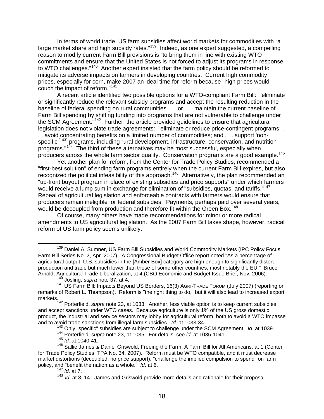In terms of world trade, US farm subsidies affect world markets for commodities with "a large market share and high subsidy rates."<sup>[139](#page-18-0)</sup> Indeed, as one expert suggested, a compelling reason to modify current Farm Bill provisions is "to bring them in line with existing WTO commitments and ensure that the United States is not forced to adjust its programs in response to WTO challenges."<sup>[140](#page-18-1)</sup> Another expert insisted that the farm policy should be reformed to mitigate its adverse impacts on farmers in developing countries. Current high commodity prices, especially for corn, make 2007 an ideal time for reform because "high prices would couch the impact of reform."[141](#page-18-2)

A recent article identified two possible options for a WTO-compliant Farm Bill: "eliminate or significantly reduce the relevant subsidy programs and accept the resulting reduction in the baseline of federal spending on rural communities . . . or . . . maintain the current baseline of Farm Bill spending by shifting funding into programs that are not vulnerable to challenge under the SCM Agreement."[142](#page-18-3) Further, the article provided guidelines to ensure that agricultural legislation does not violate trade agreements: "eliminate or reduce price-contingent programs; . . . avoid concentrating benefits on a limited number of commodities; and . . . support 'non-specific<sup>'[[143](#page-18-4)]</sup> programs, including rural development, infrastructure, conservation, and nutrition programs."[144](#page-18-5) The third of these alternatives may be most successful, especially when producers across the whole farm sector qualify. Conservation programs are a good example.<sup>[145](#page-18-6)</sup>

Yet another plan for reform, from the Center for Trade Policy Studies, recommended a "first-best solution" of ending farm programs entirely when the current Farm Bill expires, but also recognized the political infeasibility of this approach.<sup>[146](#page-18-7)</sup> Alternatively, the plan recommended an "up-front buyout program in place of existing subsidies and price supports" under which farmers would receive a lump sum in exchange for elimination of "subsidies, quotas, and tariffs."<sup>[147](#page-18-8)</sup> Repeal of agricultural legislation and enforceable contracts with farmers would ensure that producers remain ineligible for federal subsidies. Payments, perhaps paid over several years, would be decoupled from production and therefore fit within the Green Box.<sup>[148](#page-18-9)</sup>

 Of course, many others have made recommendations for minor or more radical amendments to US agricultural legislation. As the 2007 Farm Bill takes shape, however, radical reform of US farm policy seems unlikely.

143 Only "specific" subsidies are subject to challenge under the SCM Agreement. *Id*. at 1039.

144 Porterfield, *supra* note 23, at 1035. For details, see *id*. at 1035-1041.

<sup>145</sup> *Id.* at 1040-41.

<span id="page-18-0"></span><sup>&</sup>lt;sup>139</sup> Daniel A. Sumner, US Farm Bill Subsidies and World Commodity Markets (IPC Policy Focus, Farm Bill Series No. 2, Apr. 2007). A Congressional Budget Office report noted "As a percentage of agricultural output, U.S. subsidies in the [Amber Box] category are high enough to significantly distort production and trade but much lower than those of some other countries, most notably the EU." Bruce Arnold, Agricultural Trade Liberalization, at 4 (CBO Economic and Budget Issue Brief, Nov. 2006). 140 Josling, *supra* note 37, at 4.

<span id="page-18-2"></span><span id="page-18-1"></span><sup>141</sup> US Farm Bill: Impacts Beyond US Borders, 16(3) AGRI-TRADE FORUM (July 2007) (reporting on remarks of Robert L. Thompson). Reform is "the right thing to do," but it will also lead to increased export markets.

<span id="page-18-3"></span><sup>142</sup> Porterfield, *supra* note 23, at 1033. Another, less viable option is to keep current subsidies and accept sanctions under WTO cases. Because agriculture is only 1% of the US gross domestic product, the industrial and service sectors may lobby for agricultural reform, both to avoid a WTO impasse and to avoid trade sanctions from illegal farm subsidies. *Id*. at 1033-34.

<span id="page-18-9"></span><span id="page-18-8"></span><span id="page-18-7"></span><span id="page-18-6"></span><span id="page-18-5"></span><span id="page-18-4"></span><sup>146</sup> Sallie James & Daniel Griswold, Freeing the Farm: A Farm Bill for All Americans, at 1 (Center for Trade Policy Studies, TPA No. 34, 2007). Reform must be WTO compatible, and it must decrease market distortions (decoupled, no price support), "challenge the implied compulsion to spend" on farm policy, and "benefit the nation as a whole." *Id*. at 6.

<sup>147</sup> *Id.* at 7.

<sup>148</sup> *Id*. at 8, 14. James and Griswold provide more details and rationale for their proposal.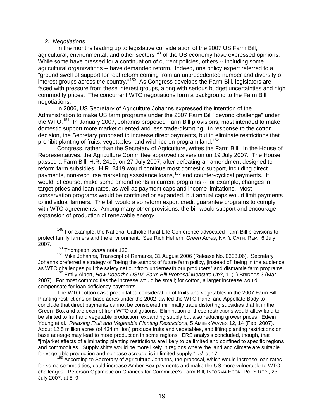#### *2. Negotiations*

In the months leading up to legislative consideration of the 2007 US Farm Bill, agricultural, environmental, and other sectors<sup>[149](#page-19-0)</sup> of the US economy have expressed opinions. While some have pressed for a continuation of current policies, others -- including some agricultural organizations -- have demanded reform. Indeed, one policy expert referred to a "ground swell of support for real reform coming from an unprecedented number and diversity of interest groups across the country."<sup>[150](#page-19-1)</sup> As Congress develops the Farm Bill, legislators are faced with pressure from these interest groups, along with serious budget uncertainties and high commodity prices. The concurrent WTO negotiations form a background to the Farm Bill negotiations.

In 2006, US Secretary of Agriculture Johanns expressed the intention of the Administration to make US farm programs under the 2007 Farm Bill "beyond challenge" under the WTO.<sup>[151](#page-19-2)</sup> In January 2007, Johanns proposed Farm Bill provisions, most intended to make domestic support more market oriented and less trade-distorting. In response to the cotton decision, the Secretary proposed to increase direct payments, but to eliminate restrictions that prohibit planting of fruits, vegetables, and wild rice on program land.<sup>[152](#page-19-3)</sup>

Congress, rather than the Secretary of Agriculture, writes the Farm Bill. In the House of Representatives, the Agriculture Committee approved its version on 19 July 2007. The House passed a Farm Bill, H.R. 2419, on 27 July 2007, after defeating an amendment designed to reform farm subsidies. H.R. 2419 would continue most domestic support, including direct payments, non-recourse marketing assistance loans,<sup>[153](#page-19-4)</sup> and counter-cyclical payments. It would, of course, make some amendments in current programs -- for example, changes in target prices and loan rates, as well as payment caps and income limitations. Most conservation programs would be continued or expanded, but annual caps would limit payments to individual farmers. The bill would also reform export credit guarantee programs to comply with WTO agreements. Among many other provisions, the bill would support and encourage expansion of production of renewable energy.

The WTO cotton case precipitated consideration of fruits and vegetables in the 2007 Farm Bill. Planting restrictions on base acres under the 2002 law led the WTO Panel and Appellate Body to conclude that direct payments cannot be considered minimally trade distorting subsidies that fit in the Green Box and are exempt from WTO obligations. Elimination of these restrictions would allow land to be shifted to fruit and vegetable production, expanding supply but also reducing grower prices. Edwin Young et al., *Relaxing Fruit and Vegetable Planting Restrictions*, 5 AMBER WAVES 12, 14 (Feb. 2007). About 12.5 million acres (of 434 million) produce fruits and vegetables, and lifting planting restrictions on base acreage may lead to more production in some regions. ERS analysis concluded, though, that "[m]arket effects of eliminating planting restrictions are likely to be limited and confined to specific regions and commodities. Supply shifts would be more likely in regions where the land and climate are suitable for vegetable production and nonbase acreage is in limited supply." *Id*. at 17.

<span id="page-19-4"></span><sup>153</sup> According to Secretary of Agriculture Johanns, the proposal, which would increase loan rates for some commodities, could increase Amber Box payments and make the US more vulnerable to WTO challenges. Peterson Optimistic on Chances for Committee's Farm Bill, INFORMA ECON. POL'Y REP., 23 July 2007, at 8, 9.

<span id="page-19-0"></span><sup>&</sup>lt;sup>149</sup> For example, the National Catholic Rural Life Conference advocated Farm Bill provisions to protect family farmers and the environment. See Rich Heffern, *Green Acres*, NAT'L CATH. REP., 6 July 2007.

<sup>150</sup> Thompson, *supra* note 120.

<span id="page-19-2"></span><span id="page-19-1"></span><sup>&</sup>lt;sup>151</sup> Mike Johanns, Transcript of Remarks, 31 August 2006 (Release No. 0333.06). Secretary Johanns preferred a strategy of "being the authors of future farm policy, [instead of] being in the audience as WTO challenges pull the safety net out from underneath our producers" and dismantle farm programs.

<span id="page-19-3"></span><sup>&</sup>lt;sup>152</sup> Emily Alpert, How Does the USDA Farm Bill Proposal Measure Up?, 11(1) BRIDGES 3 (Mar. 2007). For most commodities the increase would be small; for cotton, a larger increase would compensate for loan deficiency payments.